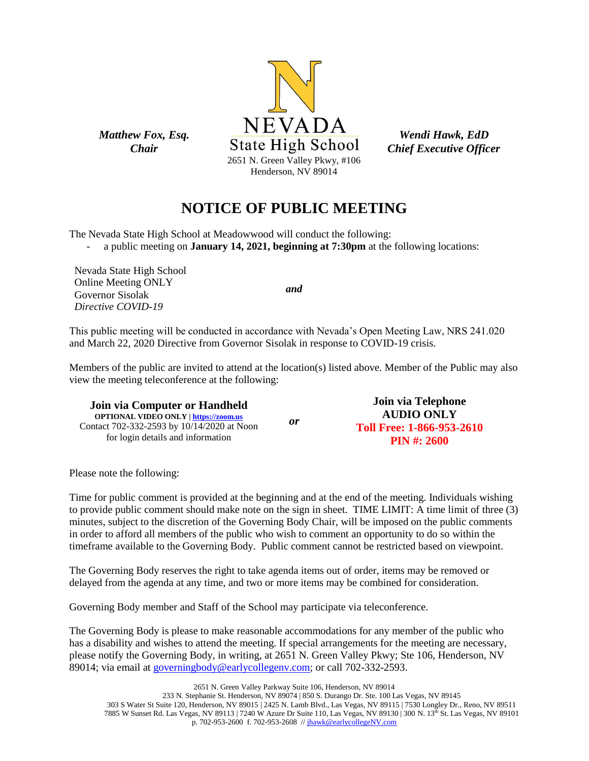

*Wendi Hawk, EdD Chief Executive Officer*

# **NOTICE OF PUBLIC MEETING**

The Nevada State High School at Meadowwood will conduct the following:

- a public meeting on **January 14, 2021, beginning at 7:30pm** at the following locations:

Nevada State High School Online Meeting ONLY Governor Sisolak *Directive COVID-19*

*Matthew Fox, Esq. Chair*

*and*

This public meeting will be conducted in accordance with Nevada's Open Meeting Law, NRS 241.020 and March 22, 2020 Directive from Governor Sisolak in response to COVID-19 crisis.

Members of the public are invited to attend at the location(s) listed above. Member of the Public may also view the meeting teleconference at the following:

**Join via Computer or Handheld OPTIONAL VIDEO ONLY [| https://zoom.us](https://zoom.us/)** Contact 702-332-2593 by 10/14/2020 at Noon for login details and information *or* **Join via Telephone AUDIO ONLY Toll Free: 1-866-953-2610 PIN #: 2600**

Please note the following:

Time for public comment is provided at the beginning and at the end of the meeting. Individuals wishing to provide public comment should make note on the sign in sheet. TIME LIMIT: A time limit of three (3) minutes, subject to the discretion of the Governing Body Chair, will be imposed on the public comments in order to afford all members of the public who wish to comment an opportunity to do so within the timeframe available to the Governing Body. Public comment cannot be restricted based on viewpoint.

The Governing Body reserves the right to take agenda items out of order, items may be removed or delayed from the agenda at any time, and two or more items may be combined for consideration.

Governing Body member and Staff of the School may participate via teleconference.

The Governing Body is please to make reasonable accommodations for any member of the public who has a disability and wishes to attend the meeting. If special arrangements for the meeting are necessary, please notify the Governing Body, in writing, at 2651 N. Green Valley Pkwy; Ste 106, Henderson, NV 89014; via email at [governingbody@earlycollegenv.com;](mailto:governingbody@earlycollegenv.com) or call 702-332-2593.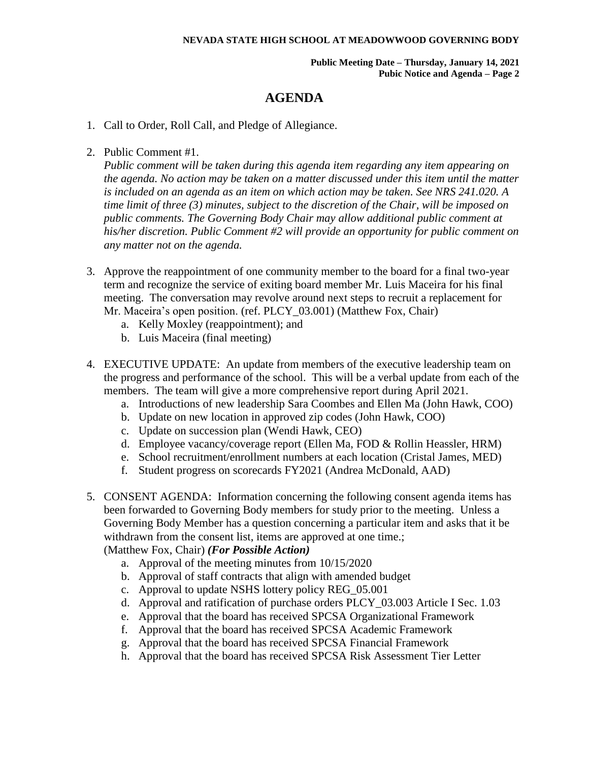#### **NEVADA STATE HIGH SCHOOL AT MEADOWWOOD GOVERNING BODY**

**Public Meeting Date – Thursday, January 14, 2021 Pubic Notice and Agenda – Page 2**

### **AGENDA**

- 1. Call to Order, Roll Call, and Pledge of Allegiance.
- 2. Public Comment #1.

*Public comment will be taken during this agenda item regarding any item appearing on the agenda. No action may be taken on a matter discussed under this item until the matter is included on an agenda as an item on which action may be taken. See NRS 241.020. A time limit of three (3) minutes, subject to the discretion of the Chair, will be imposed on public comments. The Governing Body Chair may allow additional public comment at his/her discretion. Public Comment #2 will provide an opportunity for public comment on any matter not on the agenda.*

- 3. Approve the reappointment of one community member to the board for a final two-year term and recognize the service of exiting board member Mr. Luis Maceira for his final meeting. The conversation may revolve around next steps to recruit a replacement for Mr. Maceira's open position. (ref. PLCY\_03.001) (Matthew Fox, Chair)
	- a. Kelly Moxley (reappointment); and
	- b. Luis Maceira (final meeting)
- 4. EXECUTIVE UPDATE: An update from members of the executive leadership team on the progress and performance of the school. This will be a verbal update from each of the members. The team will give a more comprehensive report during April 2021.
	- a. Introductions of new leadership Sara Coombes and Ellen Ma (John Hawk, COO)
	- b. Update on new location in approved zip codes (John Hawk, COO)
	- c. Update on succession plan (Wendi Hawk, CEO)
	- d. Employee vacancy/coverage report (Ellen Ma, FOD & Rollin Heassler, HRM)
	- e. School recruitment/enrollment numbers at each location (Cristal James, MED)
	- f. Student progress on scorecards FY2021 (Andrea McDonald, AAD)
- 5. CONSENT AGENDA: Information concerning the following consent agenda items has been forwarded to Governing Body members for study prior to the meeting. Unless a Governing Body Member has a question concerning a particular item and asks that it be withdrawn from the consent list, items are approved at one time.; (Matthew Fox, Chair) *(For Possible Action)*
	- a. Approval of the meeting minutes from 10/15/2020
	- b. Approval of staff contracts that align with amended budget
	- c. Approval to update NSHS lottery policy REG\_05.001
	- d. Approval and ratification of purchase orders PLCY\_03.003 Article I Sec. 1.03
	- e. Approval that the board has received SPCSA Organizational Framework
	- f. Approval that the board has received SPCSA Academic Framework
	- g. Approval that the board has received SPCSA Financial Framework
	- h. Approval that the board has received SPCSA Risk Assessment Tier Letter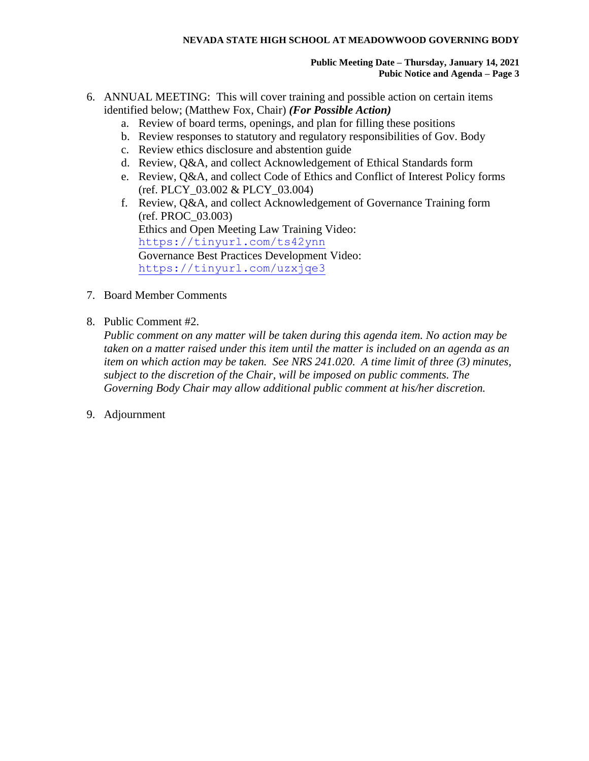#### **NEVADA STATE HIGH SCHOOL AT MEADOWWOOD GOVERNING BODY**

#### **Public Meeting Date – Thursday, January 14, 2021 Pubic Notice and Agenda – Page 3**

- 6. ANNUAL MEETING: This will cover training and possible action on certain items identified below; (Matthew Fox, Chair) *(For Possible Action)*
	- a. Review of board terms, openings, and plan for filling these positions
	- b. Review responses to statutory and regulatory responsibilities of Gov. Body
	- c. Review ethics disclosure and abstention guide
	- d. Review, Q&A, and collect Acknowledgement of Ethical Standards form
	- e. Review, Q&A, and collect Code of Ethics and Conflict of Interest Policy forms (ref. PLCY\_03.002 & PLCY\_03.004)
	- f. Review, Q&A, and collect Acknowledgement of Governance Training form (ref. PROC\_03.003) Ethics and Open Meeting Law Training Video: <https://tinyurl.com/ts42ynn> Governance Best Practices Development Video: <https://tinyurl.com/uzxjqe3>
- 7. Board Member Comments
- 8. Public Comment #2.

*Public comment on any matter will be taken during this agenda item. No action may be taken on a matter raised under this item until the matter is included on an agenda as an item on which action may be taken. See NRS 241.020. A time limit of three (3) minutes, subject to the discretion of the Chair, will be imposed on public comments. The Governing Body Chair may allow additional public comment at his/her discretion.*

9. Adjournment